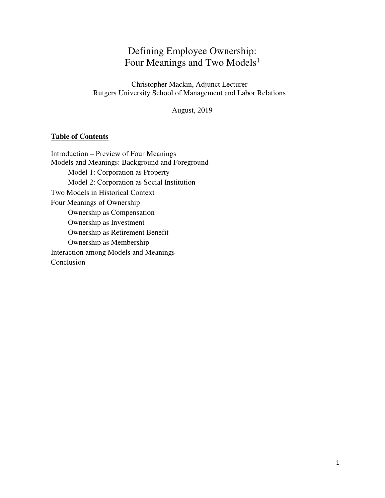# Defining Employee Ownership: Four Meanings and Two Models<sup>1</sup>

Christopher Mackin, Adjunct Lecturer Rutgers University School of Management and Labor Relations

August, 2019

#### **Table of Contents**

Introduction – Preview of Four Meanings Models and Meanings: Background and Foreground Model 1: Corporation as Property Model 2: Corporation as Social Institution Two Models in Historical Context Four Meanings of Ownership Ownership as Compensation Ownership as Investment Ownership as Retirement Benefit Ownership as Membership Interaction among Models and Meanings Conclusion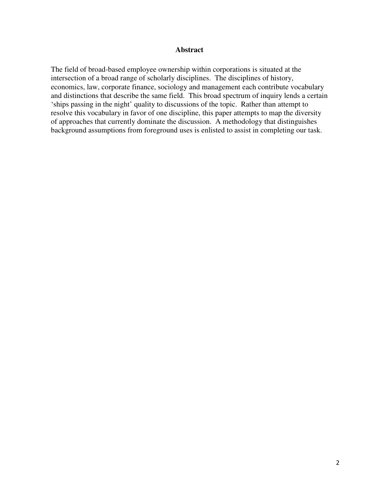#### **Abstract**

The field of broad-based employee ownership within corporations is situated at the intersection of a broad range of scholarly disciplines. The disciplines of history, economics, law, corporate finance, sociology and management each contribute vocabulary and distinctions that describe the same field. This broad spectrum of inquiry lends a certain 'ships passing in the night' quality to discussions of the topic. Rather than attempt to resolve this vocabulary in favor of one discipline, this paper attempts to map the diversity of approaches that currently dominate the discussion. A methodology that distinguishes background assumptions from foreground uses is enlisted to assist in completing our task.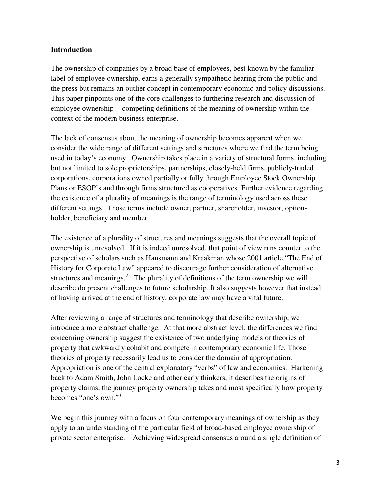# **Introduction**

The ownership of companies by a broad base of employees, best known by the familiar label of employee ownership, earns a generally sympathetic hearing from the public and the press but remains an outlier concept in contemporary economic and policy discussions. This paper pinpoints one of the core challenges to furthering research and discussion of employee ownership -- competing definitions of the meaning of ownership within the context of the modern business enterprise.

The lack of consensus about the meaning of ownership becomes apparent when we consider the wide range of different settings and structures where we find the term being used in today's economy. Ownership takes place in a variety of structural forms, including but not limited to sole proprietorships, partnerships, closely-held firms, publicly-traded corporations, corporations owned partially or fully through Employee Stock Ownership Plans or ESOP's and through firms structured as cooperatives. Further evidence regarding the existence of a plurality of meanings is the range of terminology used across these different settings. Those terms include owner, partner, shareholder, investor, optionholder, beneficiary and member.

The existence of a plurality of structures and meanings suggests that the overall topic of ownership is unresolved. If it is indeed unresolved, that point of view runs counter to the perspective of scholars such as Hansmann and Kraakman whose 2001 article "The End of History for Corporate Law" appeared to discourage further consideration of alternative structures and meanings.<sup>2</sup> The plurality of definitions of the term ownership we will describe do present challenges to future scholarship. It also suggests however that instead of having arrived at the end of history, corporate law may have a vital future.

After reviewing a range of structures and terminology that describe ownership, we introduce a more abstract challenge. At that more abstract level, the differences we find concerning ownership suggest the existence of two underlying models or theories of property that awkwardly cohabit and compete in contemporary economic life. Those theories of property necessarily lead us to consider the domain of appropriation. Appropriation is one of the central explanatory "verbs" of law and economics. Harkening back to Adam Smith, John Locke and other early thinkers, it describes the origins of property claims, the journey property ownership takes and most specifically how property becomes "one's own."<sup>3</sup>

We begin this journey with a focus on four contemporary meanings of ownership as they apply to an understanding of the particular field of broad-based employee ownership of private sector enterprise. Achieving widespread consensus around a single definition of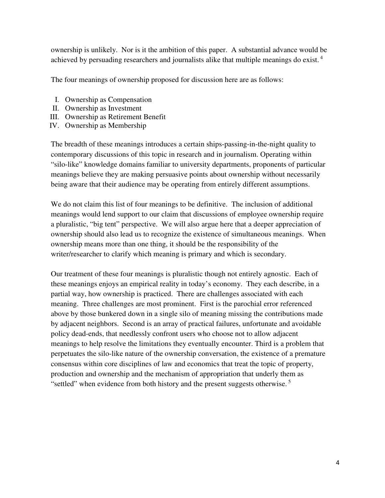ownership is unlikely. Nor is it the ambition of this paper. A substantial advance would be achieved by persuading researchers and journalists alike that multiple meanings do exist. 4

The four meanings of ownership proposed for discussion here are as follows:

- I. Ownership as Compensation
- II. Ownership as Investment
- III. Ownership as Retirement Benefit
- IV. Ownership as Membership

The breadth of these meanings introduces a certain ships-passing-in-the-night quality to contemporary discussions of this topic in research and in journalism. Operating within "silo-like" knowledge domains familiar to university departments, proponents of particular meanings believe they are making persuasive points about ownership without necessarily being aware that their audience may be operating from entirely different assumptions.

We do not claim this list of four meanings to be definitive. The inclusion of additional meanings would lend support to our claim that discussions of employee ownership require a pluralistic, "big tent" perspective. We will also argue here that a deeper appreciation of ownership should also lead us to recognize the existence of simultaneous meanings. When ownership means more than one thing, it should be the responsibility of the writer/researcher to clarify which meaning is primary and which is secondary.

Our treatment of these four meanings is pluralistic though not entirely agnostic. Each of these meanings enjoys an empirical reality in today's economy. They each describe, in a partial way, how ownership is practiced. There are challenges associated with each meaning. Three challenges are most prominent. First is the parochial error referenced above by those bunkered down in a single silo of meaning missing the contributions made by adjacent neighbors. Second is an array of practical failures, unfortunate and avoidable policy dead-ends, that needlessly confront users who choose not to allow adjacent meanings to help resolve the limitations they eventually encounter. Third is a problem that perpetuates the silo-like nature of the ownership conversation, the existence of a premature consensus within core disciplines of law and economics that treat the topic of property, production and ownership and the mechanism of appropriation that underly them as "settled" when evidence from both history and the present suggests otherwise.<sup>5</sup>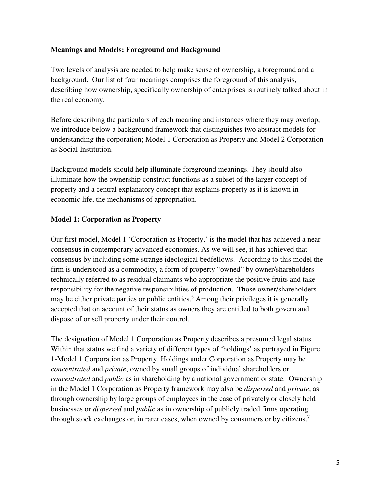# **Meanings and Models: Foreground and Background**

Two levels of analysis are needed to help make sense of ownership, a foreground and a background. Our list of four meanings comprises the foreground of this analysis, describing how ownership, specifically ownership of enterprises is routinely talked about in the real economy.

Before describing the particulars of each meaning and instances where they may overlap, we introduce below a background framework that distinguishes two abstract models for understanding the corporation; Model 1 Corporation as Property and Model 2 Corporation as Social Institution.

Background models should help illuminate foreground meanings. They should also illuminate how the ownership construct functions as a subset of the larger concept of property and a central explanatory concept that explains property as it is known in economic life, the mechanisms of appropriation.

# **Model 1: Corporation as Property**

Our first model, Model 1 'Corporation as Property,' is the model that has achieved a near consensus in contemporary advanced economies. As we will see, it has achieved that consensus by including some strange ideological bedfellows. According to this model the firm is understood as a commodity, a form of property "owned" by owner/shareholders technically referred to as residual claimants who appropriate the positive fruits and take responsibility for the negative responsibilities of production. Those owner/shareholders may be either private parties or public entities.<sup>6</sup> Among their privileges it is generally accepted that on account of their status as owners they are entitled to both govern and dispose of or sell property under their control.

The designation of Model 1 Corporation as Property describes a presumed legal status. Within that status we find a variety of different types of 'holdings' as portrayed in Figure 1-Model 1 Corporation as Property. Holdings under Corporation as Property may be *concentrated* and *private*, owned by small groups of individual shareholders or *concentrated* and *public* as in shareholding by a national government or state. Ownership in the Model 1 Corporation as Property framework may also be *dispersed* and *private*, as through ownership by large groups of employees in the case of privately or closely held businesses or *dispersed* and *public* as in ownership of publicly traded firms operating through stock exchanges or, in rarer cases, when owned by consumers or by citizens.<sup>7</sup>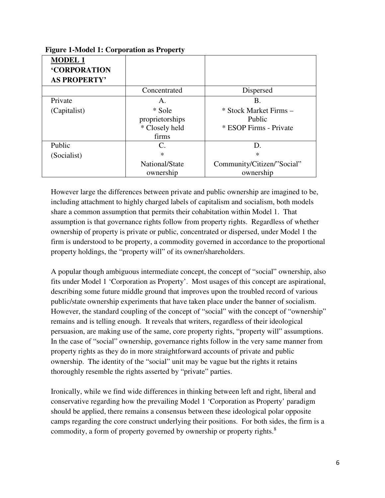| <b>MODEL 1</b>      |                 |                            |
|---------------------|-----------------|----------------------------|
| <b>'CORPORATION</b> |                 |                            |
| <b>AS PROPERTY'</b> |                 |                            |
|                     | Concentrated    | Dispersed                  |
| Private             | A.              | Β.                         |
| (Capitalist)        | * Sole          | * Stock Market Firms –     |
|                     | proprietorships | Public                     |
|                     | * Closely held  | * ESOP Firms - Private     |
|                     | firms           |                            |
| Public              | C.              | D.                         |
| (Socialist)         | $\ast$          | ∗                          |
|                     | National/State  | Community/Citizen/"Social" |
|                     | ownership       | ownership                  |

# **Figure 1-Model 1: Corporation as Property**

However large the differences between private and public ownership are imagined to be, including attachment to highly charged labels of capitalism and socialism, both models share a common assumption that permits their cohabitation within Model 1. That assumption is that governance rights follow from property rights. Regardless of whether ownership of property is private or public, concentrated or dispersed, under Model 1 the firm is understood to be property, a commodity governed in accordance to the proportional property holdings, the "property will" of its owner/shareholders.

A popular though ambiguous intermediate concept, the concept of "social" ownership, also fits under Model 1 'Corporation as Property'. Most usages of this concept are aspirational, describing some future middle ground that improves upon the troubled record of various public/state ownership experiments that have taken place under the banner of socialism. However, the standard coupling of the concept of "social" with the concept of "ownership" remains and is telling enough. It reveals that writers, regardless of their ideological persuasion, are making use of the same, core property rights, "property will" assumptions. In the case of "social" ownership, governance rights follow in the very same manner from property rights as they do in more straightforward accounts of private and public ownership. The identity of the "social" unit may be vague but the rights it retains thoroughly resemble the rights asserted by "private" parties.

Ironically, while we find wide differences in thinking between left and right, liberal and conservative regarding how the prevailing Model 1 'Corporation as Property' paradigm should be applied, there remains a consensus between these ideological polar opposite camps regarding the core construct underlying their positions. For both sides, the firm is a commodity, a form of property governed by ownership or property rights.<sup>8</sup>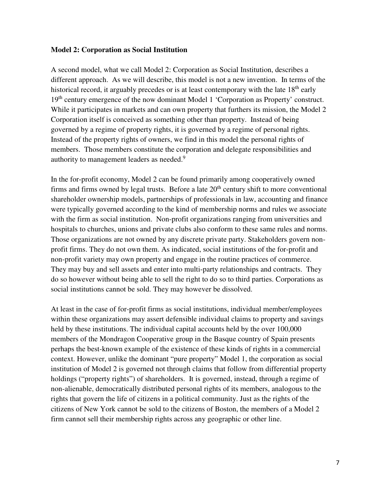#### **Model 2: Corporation as Social Institution**

A second model, what we call Model 2: Corporation as Social Institution, describes a different approach. As we will describe, this model is not a new invention. In terms of the historical record, it arguably precedes or is at least contemporary with the late 18<sup>th</sup> early 19<sup>th</sup> century emergence of the now dominant Model 1 'Corporation as Property' construct. While it participates in markets and can own property that furthers its mission, the Model 2 Corporation itself is conceived as something other than property. Instead of being governed by a regime of property rights, it is governed by a regime of personal rights. Instead of the property rights of owners, we find in this model the personal rights of members. Those members constitute the corporation and delegate responsibilities and authority to management leaders as needed.<sup>9</sup>

In the for-profit economy, Model 2 can be found primarily among cooperatively owned firms and firms owned by legal trusts. Before a late  $20<sup>th</sup>$  century shift to more conventional shareholder ownership models, partnerships of professionals in law, accounting and finance were typically governed according to the kind of membership norms and rules we associate with the firm as social institution. Non-profit organizations ranging from universities and hospitals to churches, unions and private clubs also conform to these same rules and norms. Those organizations are not owned by any discrete private party. Stakeholders govern nonprofit firms. They do not own them. As indicated, social institutions of the for-profit and non-profit variety may own property and engage in the routine practices of commerce. They may buy and sell assets and enter into multi-party relationships and contracts. They do so however without being able to sell the right to do so to third parties. Corporations as social institutions cannot be sold. They may however be dissolved.

At least in the case of for-profit firms as social institutions, individual member/employees within these organizations may assert defensible individual claims to property and savings held by these institutions. The individual capital accounts held by the over 100,000 members of the Mondragon Cooperative group in the Basque country of Spain presents perhaps the best-known example of the existence of these kinds of rights in a commercial context. However, unlike the dominant "pure property" Model 1, the corporation as social institution of Model 2 is governed not through claims that follow from differential property holdings ("property rights") of shareholders. It is governed, instead, through a regime of non-alienable, democratically distributed personal rights of its members, analogous to the rights that govern the life of citizens in a political community. Just as the rights of the citizens of New York cannot be sold to the citizens of Boston, the members of a Model 2 firm cannot sell their membership rights across any geographic or other line.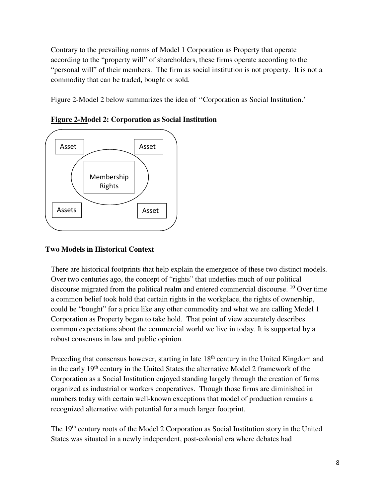Contrary to the prevailing norms of Model 1 Corporation as Property that operate according to the "property will" of shareholders, these firms operate according to the "personal will" of their members. The firm as social institution is not property. It is not a commodity that can be traded, bought or sold.

Figure 2-Model 2 below summarizes the idea of ''Corporation as Social Institution.'



**Figure 2-Model 2: Corporation as Social Institution**

# **Two Models in Historical Context**

There are historical footprints that help explain the emergence of these two distinct models. Over two centuries ago, the concept of "rights" that underlies much of our political discourse migrated from the political realm and entered commercial discourse. 10 Over time a common belief took hold that certain rights in the workplace, the rights of ownership, could be "bought" for a price like any other commodity and what we are calling Model 1 Corporation as Property began to take hold. That point of view accurately describes common expectations about the commercial world we live in today. It is supported by a robust consensus in law and public opinion.

Preceding that consensus however, starting in late 18<sup>th</sup> century in the United Kingdom and in the early 19<sup>th</sup> century in the United States the alternative Model 2 framework of the Corporation as a Social Institution enjoyed standing largely through the creation of firms organized as industrial or workers cooperatives. Though those firms are diminished in numbers today with certain well-known exceptions that model of production remains a recognized alternative with potential for a much larger footprint.

The 19th century roots of the Model 2 Corporation as Social Institution story in the United States was situated in a newly independent, post-colonial era where debates had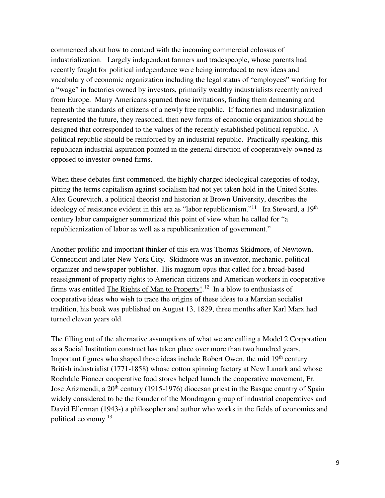commenced about how to contend with the incoming commercial colossus of industrialization. Largely independent farmers and tradespeople, whose parents had recently fought for political independence were being introduced to new ideas and vocabulary of economic organization including the legal status of "employees" working for a "wage" in factories owned by investors, primarily wealthy industrialists recently arrived from Europe. Many Americans spurned those invitations, finding them demeaning and beneath the standards of citizens of a newly free republic. If factories and industrialization represented the future, they reasoned, then new forms of economic organization should be designed that corresponded to the values of the recently established political republic. A political republic should be reinforced by an industrial republic. Practically speaking, this republican industrial aspiration pointed in the general direction of cooperatively-owned as opposed to investor-owned firms.

When these debates first commenced, the highly charged ideological categories of today, pitting the terms capitalism against socialism had not yet taken hold in the United States. Alex Gourevitch, a political theorist and historian at Brown University, describes the ideology of resistance evident in this era as "labor republicanism."<sup>11</sup> Ira Steward, a 19<sup>th</sup> century labor campaigner summarized this point of view when he called for "a republicanization of labor as well as a republicanization of government."

Another prolific and important thinker of this era was Thomas Skidmore, of Newtown, Connecticut and later New York City. Skidmore was an inventor, mechanic, political organizer and newspaper publisher. His magnum opus that called for a broad-based reassignment of property rights to American citizens and American workers in cooperative firms was entitled The Rights of Man to Property!.<sup>12</sup> In a blow to enthusiasts of cooperative ideas who wish to trace the origins of these ideas to a Marxian socialist tradition, his book was published on August 13, 1829, three months after Karl Marx had turned eleven years old.

The filling out of the alternative assumptions of what we are calling a Model 2 Corporation as a Social Institution construct has taken place over more than two hundred years. Important figures who shaped those ideas include Robert Owen, the mid  $19<sup>th</sup>$  century British industrialist (1771-1858) whose cotton spinning factory at New Lanark and whose Rochdale Pioneer cooperative food stores helped launch the cooperative movement, Fr. Jose Arizmendi, a 20<sup>th</sup> century (1915-1976) diocesan priest in the Basque country of Spain widely considered to be the founder of the Mondragon group of industrial cooperatives and David Ellerman (1943-) a philosopher and author who works in the fields of economics and political economy.<sup>13</sup>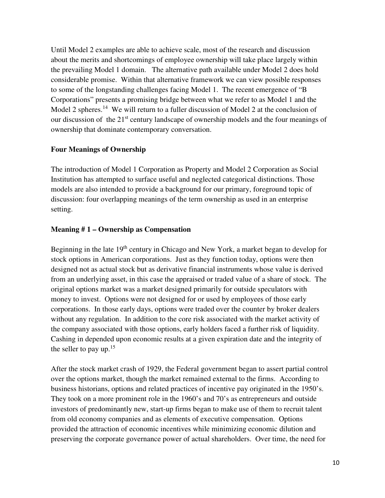Until Model 2 examples are able to achieve scale, most of the research and discussion about the merits and shortcomings of employee ownership will take place largely within the prevailing Model 1 domain. The alternative path available under Model 2 does hold considerable promise. Within that alternative framework we can view possible responses to some of the longstanding challenges facing Model 1. The recent emergence of "B Corporations" presents a promising bridge between what we refer to as Model 1 and the Model 2 spheres.<sup>14</sup> We will return to a fuller discussion of Model 2 at the conclusion of our discussion of the 21<sup>st</sup> century landscape of ownership models and the four meanings of ownership that dominate contemporary conversation.

# **Four Meanings of Ownership**

The introduction of Model 1 Corporation as Property and Model 2 Corporation as Social Institution has attempted to surface useful and neglected categorical distinctions. Those models are also intended to provide a background for our primary, foreground topic of discussion: four overlapping meanings of the term ownership as used in an enterprise setting.

# **Meaning # 1 – Ownership as Compensation**

Beginning in the late  $19<sup>th</sup>$  century in Chicago and New York, a market began to develop for stock options in American corporations. Just as they function today, options were then designed not as actual stock but as derivative financial instruments whose value is derived from an underlying asset, in this case the appraised or traded value of a share of stock. The original options market was a market designed primarily for outside speculators with money to invest. Options were not designed for or used by employees of those early corporations. In those early days, options were traded over the counter by broker dealers without any regulation. In addition to the core risk associated with the market activity of the company associated with those options, early holders faced a further risk of liquidity. Cashing in depended upon economic results at a given expiration date and the integrity of the seller to pay up.<sup>15</sup>

After the stock market crash of 1929, the Federal government began to assert partial control over the options market, though the market remained external to the firms. According to business historians, options and related practices of incentive pay originated in the 1950's. They took on a more prominent role in the 1960's and 70's as entrepreneurs and outside investors of predominantly new, start-up firms began to make use of them to recruit talent from old economy companies and as elements of executive compensation. Options provided the attraction of economic incentives while minimizing economic dilution and preserving the corporate governance power of actual shareholders. Over time, the need for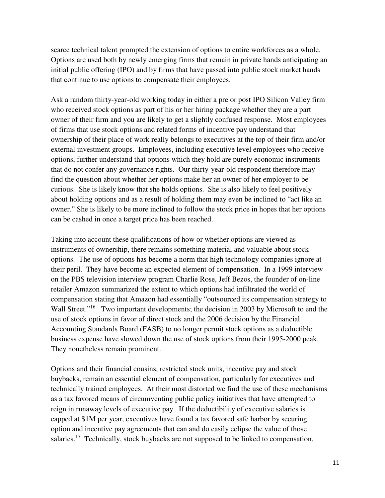scarce technical talent prompted the extension of options to entire workforces as a whole. Options are used both by newly emerging firms that remain in private hands anticipating an initial public offering (IPO) and by firms that have passed into public stock market hands that continue to use options to compensate their employees.

Ask a random thirty-year-old working today in either a pre or post IPO Silicon Valley firm who received stock options as part of his or her hiring package whether they are a part owner of their firm and you are likely to get a slightly confused response. Most employees of firms that use stock options and related forms of incentive pay understand that ownership of their place of work really belongs to executives at the top of their firm and/or external investment groups. Employees, including executive level employees who receive options, further understand that options which they hold are purely economic instruments that do not confer any governance rights. Our thirty-year-old respondent therefore may find the question about whether her options make her an owner of her employer to be curious. She is likely know that she holds options. She is also likely to feel positively about holding options and as a result of holding them may even be inclined to "act like an owner." She is likely to be more inclined to follow the stock price in hopes that her options can be cashed in once a target price has been reached.

Taking into account these qualifications of how or whether options are viewed as instruments of ownership, there remains something material and valuable about stock options. The use of options has become a norm that high technology companies ignore at their peril. They have become an expected element of compensation. In a 1999 interview on the PBS television interview program Charlie Rose, Jeff Bezos, the founder of on-line retailer Amazon summarized the extent to which options had infiltrated the world of compensation stating that Amazon had essentially "outsourced its compensation strategy to Wall Street."<sup>16</sup> Two important developments; the decision in 2003 by Microsoft to end the use of stock options in favor of direct stock and the 2006 decision by the Financial Accounting Standards Board (FASB) to no longer permit stock options as a deductible business expense have slowed down the use of stock options from their 1995-2000 peak. They nonetheless remain prominent.

Options and their financial cousins, restricted stock units, incentive pay and stock buybacks, remain an essential element of compensation, particularly for executives and technically trained employees. At their most distorted we find the use of these mechanisms as a tax favored means of circumventing public policy initiatives that have attempted to reign in runaway levels of executive pay. If the deductibility of executive salaries is capped at \$1M per year, executives have found a tax favored safe harbor by securing option and incentive pay agreements that can and do easily eclipse the value of those salaries.17 Technically, stock buybacks are not supposed to be linked to compensation.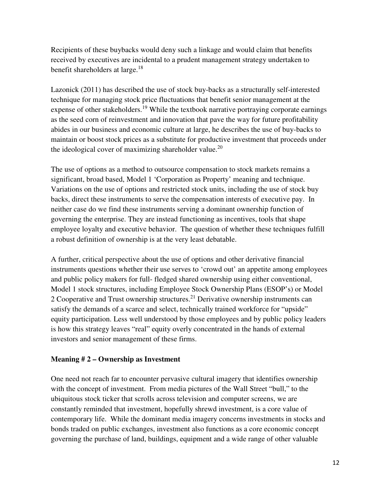Recipients of these buybacks would deny such a linkage and would claim that benefits received by executives are incidental to a prudent management strategy undertaken to benefit shareholders at large.<sup>18</sup>

Lazonick (2011) has described the use of stock buy-backs as a structurally self-interested technique for managing stock price fluctuations that benefit senior management at the expense of other stakeholders.<sup>19</sup> While the textbook narrative portraying corporate earnings as the seed corn of reinvestment and innovation that pave the way for future profitability abides in our business and economic culture at large, he describes the use of buy-backs to maintain or boost stock prices as a substitute for productive investment that proceeds under the ideological cover of maximizing shareholder value.<sup>20</sup>

The use of options as a method to outsource compensation to stock markets remains a significant, broad based, Model 1 'Corporation as Property' meaning and technique. Variations on the use of options and restricted stock units, including the use of stock buy backs, direct these instruments to serve the compensation interests of executive pay. In neither case do we find these instruments serving a dominant ownership function of governing the enterprise. They are instead functioning as incentives, tools that shape employee loyalty and executive behavior. The question of whether these techniques fulfill a robust definition of ownership is at the very least debatable.

A further, critical perspective about the use of options and other derivative financial instruments questions whether their use serves to 'crowd out' an appetite among employees and public policy makers for full- fledged shared ownership using either conventional, Model 1 stock structures, including Employee Stock Ownership Plans (ESOP's) or Model 2 Cooperative and Trust ownership structures.21 Derivative ownership instruments can satisfy the demands of a scarce and select, technically trained workforce for "upside" equity participation. Less well understood by those employees and by public policy leaders is how this strategy leaves "real" equity overly concentrated in the hands of external investors and senior management of these firms.

#### **Meaning # 2 – Ownership as Investment**

One need not reach far to encounter pervasive cultural imagery that identifies ownership with the concept of investment. From media pictures of the Wall Street "bull," to the ubiquitous stock ticker that scrolls across television and computer screens, we are constantly reminded that investment, hopefully shrewd investment, is a core value of contemporary life. While the dominant media imagery concerns investments in stocks and bonds traded on public exchanges, investment also functions as a core economic concept governing the purchase of land, buildings, equipment and a wide range of other valuable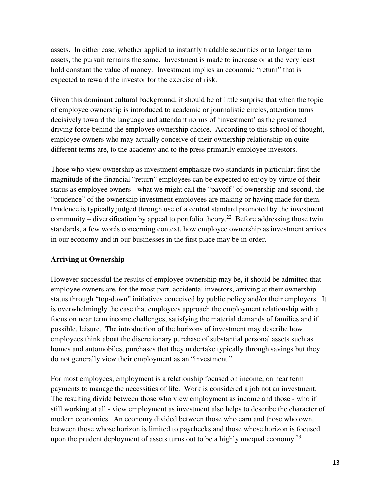assets. In either case, whether applied to instantly tradable securities or to longer term assets, the pursuit remains the same. Investment is made to increase or at the very least hold constant the value of money. Investment implies an economic "return" that is expected to reward the investor for the exercise of risk.

Given this dominant cultural background, it should be of little surprise that when the topic of employee ownership is introduced to academic or journalistic circles, attention turns decisively toward the language and attendant norms of 'investment' as the presumed driving force behind the employee ownership choice. According to this school of thought, employee owners who may actually conceive of their ownership relationship on quite different terms are, to the academy and to the press primarily employee investors.

Those who view ownership as investment emphasize two standards in particular; first the magnitude of the financial "return" employees can be expected to enjoy by virtue of their status as employee owners - what we might call the "payoff" of ownership and second, the "prudence" of the ownership investment employees are making or having made for them. Prudence is typically judged through use of a central standard promoted by the investment community – diversification by appeal to portfolio theory.<sup>22</sup> Before addressing those twin standards, a few words concerning context, how employee ownership as investment arrives in our economy and in our businesses in the first place may be in order.

#### **Arriving at Ownership**

However successful the results of employee ownership may be, it should be admitted that employee owners are, for the most part, accidental investors, arriving at their ownership status through "top-down" initiatives conceived by public policy and/or their employers. It is overwhelmingly the case that employees approach the employment relationship with a focus on near term income challenges, satisfying the material demands of families and if possible, leisure. The introduction of the horizons of investment may describe how employees think about the discretionary purchase of substantial personal assets such as homes and automobiles, purchases that they undertake typically through savings but they do not generally view their employment as an "investment."

For most employees, employment is a relationship focused on income, on near term payments to manage the necessities of life. Work is considered a job not an investment. The resulting divide between those who view employment as income and those - who if still working at all - view employment as investment also helps to describe the character of modern economies. An economy divided between those who earn and those who own, between those whose horizon is limited to paychecks and those whose horizon is focused upon the prudent deployment of assets turns out to be a highly unequal economy.<sup>23</sup>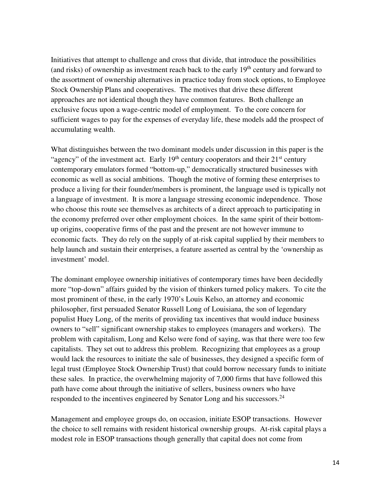Initiatives that attempt to challenge and cross that divide, that introduce the possibilities (and risks) of ownership as investment reach back to the early  $19<sup>th</sup>$  century and forward to the assortment of ownership alternatives in practice today from stock options, to Employee Stock Ownership Plans and cooperatives. The motives that drive these different approaches are not identical though they have common features. Both challenge an exclusive focus upon a wage-centric model of employment. To the core concern for sufficient wages to pay for the expenses of everyday life, these models add the prospect of accumulating wealth.

What distinguishes between the two dominant models under discussion in this paper is the "agency" of the investment act. Early  $19<sup>th</sup>$  century cooperators and their  $21<sup>st</sup>$  century contemporary emulators formed "bottom-up," democratically structured businesses with economic as well as social ambitions. Though the motive of forming these enterprises to produce a living for their founder/members is prominent, the language used is typically not a language of investment. It is more a language stressing economic independence. Those who choose this route see themselves as architects of a direct approach to participating in the economy preferred over other employment choices. In the same spirit of their bottomup origins, cooperative firms of the past and the present are not however immune to economic facts. They do rely on the supply of at-risk capital supplied by their members to help launch and sustain their enterprises, a feature asserted as central by the 'ownership as investment' model.

The dominant employee ownership initiatives of contemporary times have been decidedly more "top-down" affairs guided by the vision of thinkers turned policy makers. To cite the most prominent of these, in the early 1970's Louis Kelso, an attorney and economic philosopher, first persuaded Senator Russell Long of Louisiana, the son of legendary populist Huey Long, of the merits of providing tax incentives that would induce business owners to "sell" significant ownership stakes to employees (managers and workers). The problem with capitalism, Long and Kelso were fond of saying, was that there were too few capitalists. They set out to address this problem. Recognizing that employees as a group would lack the resources to initiate the sale of businesses, they designed a specific form of legal trust (Employee Stock Ownership Trust) that could borrow necessary funds to initiate these sales. In practice, the overwhelming majority of 7,000 firms that have followed this path have come about through the initiative of sellers, business owners who have responded to the incentives engineered by Senator Long and his successors.<sup>24</sup>

Management and employee groups do, on occasion, initiate ESOP transactions. However the choice to sell remains with resident historical ownership groups. At-risk capital plays a modest role in ESOP transactions though generally that capital does not come from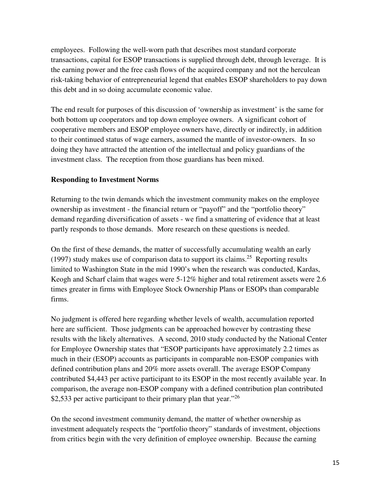employees. Following the well-worn path that describes most standard corporate transactions, capital for ESOP transactions is supplied through debt, through leverage. It is the earning power and the free cash flows of the acquired company and not the herculean risk-taking behavior of entrepreneurial legend that enables ESOP shareholders to pay down this debt and in so doing accumulate economic value.

The end result for purposes of this discussion of 'ownership as investment' is the same for both bottom up cooperators and top down employee owners. A significant cohort of cooperative members and ESOP employee owners have, directly or indirectly, in addition to their continued status of wage earners, assumed the mantle of investor-owners. In so doing they have attracted the attention of the intellectual and policy guardians of the investment class. The reception from those guardians has been mixed.

# **Responding to Investment Norms**

Returning to the twin demands which the investment community makes on the employee ownership as investment - the financial return or "payoff" and the "portfolio theory" demand regarding diversification of assets - we find a smattering of evidence that at least partly responds to those demands. More research on these questions is needed.

On the first of these demands, the matter of successfully accumulating wealth an early (1997) study makes use of comparison data to support its claims.<sup>25</sup> Reporting results limited to Washington State in the mid 1990's when the research was conducted, Kardas, Keogh and Scharf claim that wages were 5-12% higher and total retirement assets were 2.6 times greater in firms with Employee Stock Ownership Plans or ESOPs than comparable firms.

No judgment is offered here regarding whether levels of wealth, accumulation reported here are sufficient. Those judgments can be approached however by contrasting these results with the likely alternatives. A second, 2010 study conducted by the National Center for Employee Ownership states that "ESOP participants have approximately 2.2 times as much in their (ESOP) accounts as participants in comparable non-ESOP companies with defined contribution plans and 20% more assets overall. The average ESOP Company contributed \$4,443 per active participant to its ESOP in the most recently available year. In comparison, the average non-ESOP company with a defined contribution plan contributed \$2,533 per active participant to their primary plan that year. $126$ 

On the second investment community demand, the matter of whether ownership as investment adequately respects the "portfolio theory" standards of investment, objections from critics begin with the very definition of employee ownership. Because the earning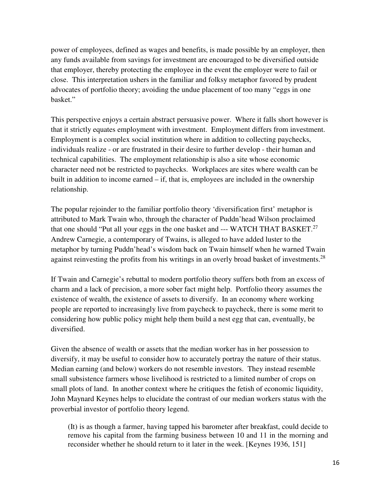power of employees, defined as wages and benefits, is made possible by an employer, then any funds available from savings for investment are encouraged to be diversified outside that employer, thereby protecting the employee in the event the employer were to fail or close. This interpretation ushers in the familiar and folksy metaphor favored by prudent advocates of portfolio theory; avoiding the undue placement of too many "eggs in one basket."

This perspective enjoys a certain abstract persuasive power. Where it falls short however is that it strictly equates employment with investment. Employment differs from investment. Employment is a complex social institution where in addition to collecting paychecks, individuals realize - or are frustrated in their desire to further develop - their human and technical capabilities. The employment relationship is also a site whose economic character need not be restricted to paychecks. Workplaces are sites where wealth can be built in addition to income earned – if, that is, employees are included in the ownership relationship.

The popular rejoinder to the familiar portfolio theory 'diversification first' metaphor is attributed to Mark Twain who, through the character of Puddn'head Wilson proclaimed that one should "Put all your eggs in the one basket and  $--$  WATCH THAT BASKET.<sup>27</sup> Andrew Carnegie, a contemporary of Twains, is alleged to have added luster to the metaphor by turning Puddn'head's wisdom back on Twain himself when he warned Twain against reinvesting the profits from his writings in an overly broad basket of investments.<sup>28</sup>

If Twain and Carnegie's rebuttal to modern portfolio theory suffers both from an excess of charm and a lack of precision, a more sober fact might help. Portfolio theory assumes the existence of wealth, the existence of assets to diversify. In an economy where working people are reported to increasingly live from paycheck to paycheck, there is some merit to considering how public policy might help them build a nest egg that can, eventually, be diversified.

Given the absence of wealth or assets that the median worker has in her possession to diversify, it may be useful to consider how to accurately portray the nature of their status. Median earning (and below) workers do not resemble investors. They instead resemble small subsistence farmers whose livelihood is restricted to a limited number of crops on small plots of land. In another context where he critiques the fetish of economic liquidity, John Maynard Keynes helps to elucidate the contrast of our median workers status with the proverbial investor of portfolio theory legend.

(It) is as though a farmer, having tapped his barometer after breakfast, could decide to remove his capital from the farming business between 10 and 11 in the morning and reconsider whether he should return to it later in the week. [Keynes 1936, 151]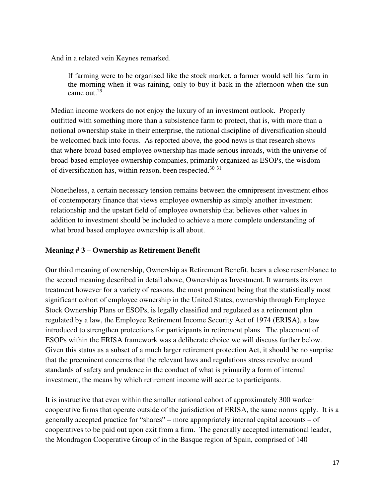And in a related vein Keynes remarked.

If farming were to be organised like the stock market, a farmer would sell his farm in the morning when it was raining, only to buy it back in the afternoon when the sun came out.<sup>29</sup>

Median income workers do not enjoy the luxury of an investment outlook. Properly outfitted with something more than a subsistence farm to protect, that is, with more than a notional ownership stake in their enterprise, the rational discipline of diversification should be welcomed back into focus. As reported above, the good news is that research shows that where broad based employee ownership has made serious inroads, with the universe of broad-based employee ownership companies, primarily organized as ESOPs, the wisdom of diversification has, within reason, been respected.<sup>30</sup> <sup>31</sup>

Nonetheless, a certain necessary tension remains between the omnipresent investment ethos of contemporary finance that views employee ownership as simply another investment relationship and the upstart field of employee ownership that believes other values in addition to investment should be included to achieve a more complete understanding of what broad based employee ownership is all about.

# **Meaning # 3 – Ownership as Retirement Benefit**

Our third meaning of ownership, Ownership as Retirement Benefit, bears a close resemblance to the second meaning described in detail above, Ownership as Investment. It warrants its own treatment however for a variety of reasons, the most prominent being that the statistically most significant cohort of employee ownership in the United States, ownership through Employee Stock Ownership Plans or ESOPs, is legally classified and regulated as a retirement plan regulated by a law, the Employee Retirement Income Security Act of 1974 (ERISA), a law introduced to strengthen protections for participants in retirement plans. The placement of ESOPs within the ERISA framework was a deliberate choice we will discuss further below. Given this status as a subset of a much larger retirement protection Act, it should be no surprise that the preeminent concerns that the relevant laws and regulations stress revolve around standards of safety and prudence in the conduct of what is primarily a form of internal investment, the means by which retirement income will accrue to participants.

It is instructive that even within the smaller national cohort of approximately 300 worker cooperative firms that operate outside of the jurisdiction of ERISA, the same norms apply. It is a generally accepted practice for "shares" – more appropriately internal capital accounts – of cooperatives to be paid out upon exit from a firm. The generally accepted international leader, the Mondragon Cooperative Group of in the Basque region of Spain, comprised of 140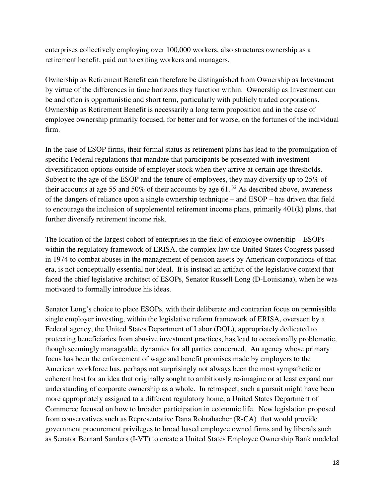enterprises collectively employing over 100,000 workers, also structures ownership as a retirement benefit, paid out to exiting workers and managers.

Ownership as Retirement Benefit can therefore be distinguished from Ownership as Investment by virtue of the differences in time horizons they function within. Ownership as Investment can be and often is opportunistic and short term, particularly with publicly traded corporations. Ownership as Retirement Benefit is necessarily a long term proposition and in the case of employee ownership primarily focused, for better and for worse, on the fortunes of the individual firm.

In the case of ESOP firms, their formal status as retirement plans has lead to the promulgation of specific Federal regulations that mandate that participants be presented with investment diversification options outside of employer stock when they arrive at certain age thresholds. Subject to the age of the ESOP and the tenure of employees, they may diversify up to 25% of their accounts at age 55 and 50% of their accounts by age  $61$ . <sup>32</sup> As described above, awareness of the dangers of reliance upon a single ownership technique – and ESOP – has driven that field to encourage the inclusion of supplemental retirement income plans, primarily 401(k) plans, that further diversify retirement income risk.

The location of the largest cohort of enterprises in the field of employee ownership – ESOPs – within the regulatory framework of ERISA, the complex law the United States Congress passed in 1974 to combat abuses in the management of pension assets by American corporations of that era, is not conceptually essential nor ideal. It is instead an artifact of the legislative context that faced the chief legislative architect of ESOPs, Senator Russell Long (D-Louisiana), when he was motivated to formally introduce his ideas.

Senator Long's choice to place ESOPs, with their deliberate and contrarian focus on permissible single employer investing, within the legislative reform framework of ERISA, overseen by a Federal agency, the United States Department of Labor (DOL), appropriately dedicated to protecting beneficiaries from abusive investment practices, has lead to occasionally problematic, though seemingly manageable, dynamics for all parties concerned. An agency whose primary focus has been the enforcement of wage and benefit promises made by employers to the American workforce has, perhaps not surprisingly not always been the most sympathetic or coherent host for an idea that originally sought to ambitiously re-imagine or at least expand our understanding of corporate ownership as a whole. In retrospect, such a pursuit might have been more appropriately assigned to a different regulatory home, a United States Department of Commerce focused on how to broaden participation in economic life. New legislation proposed from conservatives such as Representative Dana Rohrabacher (R-CA) that would provide government procurement privileges to broad based employee owned firms and by liberals such as Senator Bernard Sanders (I-VT) to create a United States Employee Ownership Bank modeled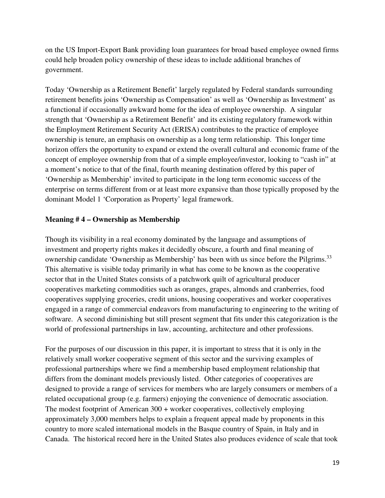on the US Import-Export Bank providing loan guarantees for broad based employee owned firms could help broaden policy ownership of these ideas to include additional branches of government.

Today 'Ownership as a Retirement Benefit' largely regulated by Federal standards surrounding retirement benefits joins 'Ownership as Compensation' as well as 'Ownership as Investment' as a functional if occasionally awkward home for the idea of employee ownership. A singular strength that 'Ownership as a Retirement Benefit' and its existing regulatory framework within the Employment Retirement Security Act (ERISA) contributes to the practice of employee ownership is tenure, an emphasis on ownership as a long term relationship. This longer time horizon offers the opportunity to expand or extend the overall cultural and economic frame of the concept of employee ownership from that of a simple employee/investor, looking to "cash in" at a moment's notice to that of the final, fourth meaning destination offered by this paper of 'Ownership as Membership' invited to participate in the long term economic success of the enterprise on terms different from or at least more expansive than those typically proposed by the dominant Model 1 'Corporation as Property' legal framework.

#### **Meaning # 4 – Ownership as Membership**

Though its visibility in a real economy dominated by the language and assumptions of investment and property rights makes it decidedly obscure, a fourth and final meaning of ownership candidate 'Ownership as Membership' has been with us since before the Pilgrims.<sup>33</sup> This alternative is visible today primarily in what has come to be known as the cooperative sector that in the United States consists of a patchwork quilt of agricultural producer cooperatives marketing commodities such as oranges, grapes, almonds and cranberries, food cooperatives supplying groceries, credit unions, housing cooperatives and worker cooperatives engaged in a range of commercial endeavors from manufacturing to engineering to the writing of software. A second diminishing but still present segment that fits under this categorization is the world of professional partnerships in law, accounting, architecture and other professions.

For the purposes of our discussion in this paper, it is important to stress that it is only in the relatively small worker cooperative segment of this sector and the surviving examples of professional partnerships where we find a membership based employment relationship that differs from the dominant models previously listed. Other categories of cooperatives are designed to provide a range of services for members who are largely consumers or members of a related occupational group (e.g. farmers) enjoying the convenience of democratic association. The modest footprint of American 300 + worker cooperatives, collectively employing approximately 3,000 members helps to explain a frequent appeal made by proponents in this country to more scaled international models in the Basque country of Spain, in Italy and in Canada. The historical record here in the United States also produces evidence of scale that took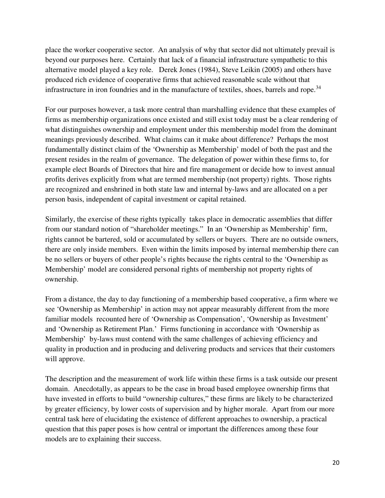place the worker cooperative sector. An analysis of why that sector did not ultimately prevail is beyond our purposes here. Certainly that lack of a financial infrastructure sympathetic to this alternative model played a key role. Derek Jones (1984), Steve Leikin (2005) and others have produced rich evidence of cooperative firms that achieved reasonable scale without that infrastructure in iron foundries and in the manufacture of textiles, shoes, barrels and rope.<sup>34</sup>

For our purposes however, a task more central than marshalling evidence that these examples of firms as membership organizations once existed and still exist today must be a clear rendering of what distinguishes ownership and employment under this membership model from the dominant meanings previously described. What claims can it make about difference? Perhaps the most fundamentally distinct claim of the 'Ownership as Membership' model of both the past and the present resides in the realm of governance. The delegation of power within these firms to, for example elect Boards of Directors that hire and fire management or decide how to invest annual profits derives explicitly from what are termed membership (not property) rights. Those rights are recognized and enshrined in both state law and internal by-laws and are allocated on a per person basis, independent of capital investment or capital retained.

Similarly, the exercise of these rights typically takes place in democratic assemblies that differ from our standard notion of "shareholder meetings." In an 'Ownership as Membership' firm, rights cannot be bartered, sold or accumulated by sellers or buyers. There are no outside owners, there are only inside members. Even within the limits imposed by internal membership there can be no sellers or buyers of other people's rights because the rights central to the 'Ownership as Membership' model are considered personal rights of membership not property rights of ownership.

From a distance, the day to day functioning of a membership based cooperative, a firm where we see 'Ownership as Membership' in action may not appear measurably different from the more familiar models recounted here of 'Ownership as Compensation', 'Ownership as Investment' and 'Ownership as Retirement Plan.' Firms functioning in accordance with 'Ownership as Membership' by-laws must contend with the same challenges of achieving efficiency and quality in production and in producing and delivering products and services that their customers will approve.

The description and the measurement of work life within these firms is a task outside our present domain. Anecdotally, as appears to be the case in broad based employee ownership firms that have invested in efforts to build "ownership cultures," these firms are likely to be characterized by greater efficiency, by lower costs of supervision and by higher morale. Apart from our more central task here of elucidating the existence of different approaches to ownership, a practical question that this paper poses is how central or important the differences among these four models are to explaining their success.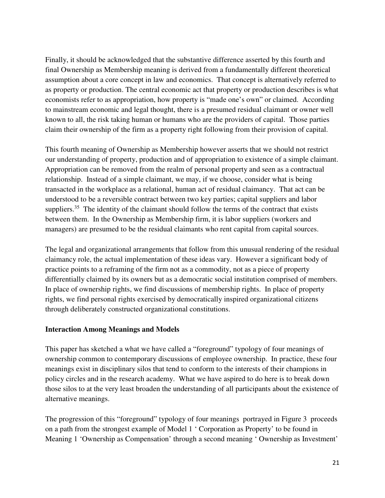Finally, it should be acknowledged that the substantive difference asserted by this fourth and final Ownership as Membership meaning is derived from a fundamentally different theoretical assumption about a core concept in law and economics. That concept is alternatively referred to as property or production. The central economic act that property or production describes is what economists refer to as appropriation, how property is "made one's own" or claimed. According to mainstream economic and legal thought, there is a presumed residual claimant or owner well known to all, the risk taking human or humans who are the providers of capital. Those parties claim their ownership of the firm as a property right following from their provision of capital.

This fourth meaning of Ownership as Membership however asserts that we should not restrict our understanding of property, production and of appropriation to existence of a simple claimant. Appropriation can be removed from the realm of personal property and seen as a contractual relationship. Instead of a simple claimant, we may, if we choose, consider what is being transacted in the workplace as a relational, human act of residual claimancy. That act can be understood to be a reversible contract between two key parties; capital suppliers and labor suppliers.<sup>35</sup> The identity of the claimant should follow the terms of the contract that exists between them. In the Ownership as Membership firm, it is labor suppliers (workers and managers) are presumed to be the residual claimants who rent capital from capital sources.

The legal and organizational arrangements that follow from this unusual rendering of the residual claimancy role, the actual implementation of these ideas vary. However a significant body of practice points to a reframing of the firm not as a commodity, not as a piece of property differentially claimed by its owners but as a democratic social institution comprised of members. In place of ownership rights, we find discussions of membership rights. In place of property rights, we find personal rights exercised by democratically inspired organizational citizens through deliberately constructed organizational constitutions.

#### **Interaction Among Meanings and Models**

This paper has sketched a what we have called a "foreground" typology of four meanings of ownership common to contemporary discussions of employee ownership. In practice, these four meanings exist in disciplinary silos that tend to conform to the interests of their champions in policy circles and in the research academy. What we have aspired to do here is to break down those silos to at the very least broaden the understanding of all participants about the existence of alternative meanings.

The progression of this "foreground" typology of four meanings portrayed in Figure 3 proceeds on a path from the strongest example of Model 1 ' Corporation as Property' to be found in Meaning 1 'Ownership as Compensation' through a second meaning ' Ownership as Investment'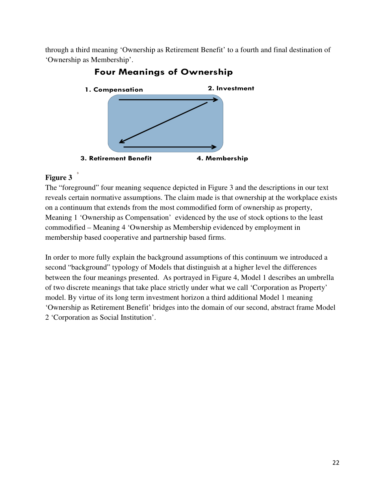through a third meaning 'Ownership as Retirement Benefit' to a fourth and final destination of 'Ownership as Membership'.



# **Four Meanings of Ownership**

# **Figure 3**

**3**

The "foreground" four meaning sequence depicted in Figure 3 and the descriptions in our text reveals certain normative assumptions. The claim made is that ownership at the workplace exists on a continuum that extends from the most commodified form of ownership as property, Meaning 1 'Ownership as Compensation' evidenced by the use of stock options to the least commodified – Meaning 4 'Ownership as Membership evidenced by employment in membership based cooperative and partnership based firms.

In order to more fully explain the background assumptions of this continuum we introduced a second "background" typology of Models that distinguish at a higher level the differences between the four meanings presented. As portrayed in Figure 4, Model 1 describes an umbrella of two discrete meanings that take place strictly under what we call 'Corporation as Property' model. By virtue of its long term investment horizon a third additional Model 1 meaning 'Ownership as Retirement Benefit' bridges into the domain of our second, abstract frame Model 2 'Corporation as Social Institution'.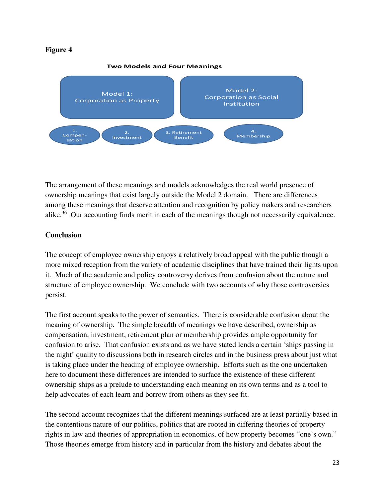#### **Figure 4**



The arrangement of these meanings and models acknowledges the real world presence of ownership meanings that exist largely outside the Model 2 domain. There are differences among these meanings that deserve attention and recognition by policy makers and researchers alike.<sup>36</sup> Our accounting finds merit in each of the meanings though not necessarily equivalence.

# **Conclusion**

The concept of employee ownership enjoys a relatively broad appeal with the public though a more mixed reception from the variety of academic disciplines that have trained their lights upon it. Much of the academic and policy controversy derives from confusion about the nature and structure of employee ownership. We conclude with two accounts of why those controversies persist.

The first account speaks to the power of semantics. There is considerable confusion about the meaning of ownership. The simple breadth of meanings we have described, ownership as compensation, investment, retirement plan or membership provides ample opportunity for confusion to arise. That confusion exists and as we have stated lends a certain 'ships passing in the night' quality to discussions both in research circles and in the business press about just what is taking place under the heading of employee ownership. Efforts such as the one undertaken here to document these differences are intended to surface the existence of these different ownership ships as a prelude to understanding each meaning on its own terms and as a tool to help advocates of each learn and borrow from others as they see fit.

The second account recognizes that the different meanings surfaced are at least partially based in the contentious nature of our politics, politics that are rooted in differing theories of property rights in law and theories of appropriation in economics, of how property becomes "one's own." Those theories emerge from history and in particular from the history and debates about the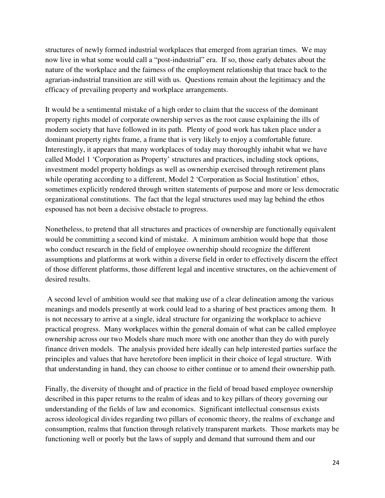structures of newly formed industrial workplaces that emerged from agrarian times. We may now live in what some would call a "post-industrial" era. If so, those early debates about the nature of the workplace and the fairness of the employment relationship that trace back to the agrarian-industrial transition are still with us. Questions remain about the legitimacy and the efficacy of prevailing property and workplace arrangements.

It would be a sentimental mistake of a high order to claim that the success of the dominant property rights model of corporate ownership serves as the root cause explaining the ills of modern society that have followed in its path. Plenty of good work has taken place under a dominant property rights frame, a frame that is very likely to enjoy a comfortable future. Interestingly, it appears that many workplaces of today may thoroughly inhabit what we have called Model 1 'Corporation as Property' structures and practices, including stock options, investment model property holdings as well as ownership exercised through retirement plans while operating according to a different, Model 2 'Corporation as Social Institution' ethos, sometimes explicitly rendered through written statements of purpose and more or less democratic organizational constitutions. The fact that the legal structures used may lag behind the ethos espoused has not been a decisive obstacle to progress.

Nonetheless, to pretend that all structures and practices of ownership are functionally equivalent would be committing a second kind of mistake. A minimum ambition would hope that those who conduct research in the field of employee ownership should recognize the different assumptions and platforms at work within a diverse field in order to effectively discern the effect of those different platforms, those different legal and incentive structures, on the achievement of desired results.

 A second level of ambition would see that making use of a clear delineation among the various meanings and models presently at work could lead to a sharing of best practices among them. It is not necessary to arrive at a single, ideal structure for organizing the workplace to achieve practical progress. Many workplaces within the general domain of what can be called employee ownership across our two Models share much more with one another than they do with purely finance driven models. The analysis provided here ideally can help interested parties surface the principles and values that have heretofore been implicit in their choice of legal structure. With that understanding in hand, they can choose to either continue or to amend their ownership path.

Finally, the diversity of thought and of practice in the field of broad based employee ownership described in this paper returns to the realm of ideas and to key pillars of theory governing our understanding of the fields of law and economics. Significant intellectual consensus exists across ideological divides regarding two pillars of economic theory, the realms of exchange and consumption, realms that function through relatively transparent markets. Those markets may be functioning well or poorly but the laws of supply and demand that surround them and our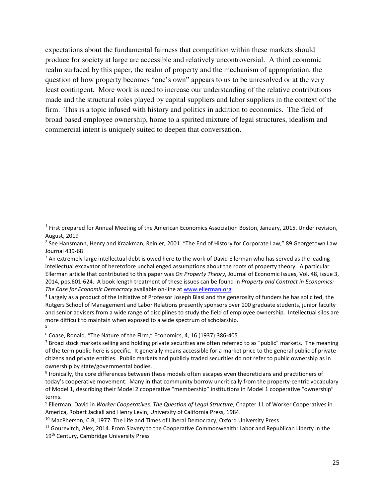expectations about the fundamental fairness that competition within these markets should produce for society at large are accessible and relatively uncontroversial. A third economic realm surfaced by this paper, the realm of property and the mechanism of appropriation, the question of how property becomes "one's own" appears to us to be unresolved or at the very least contingent. More work is need to increase our understanding of the relative contributions made and the structural roles played by capital suppliers and labor suppliers in the context of the firm. This is a topic infused with history and politics in addition to economics. The field of broad based employee ownership, home to a spirited mixture of legal structures, idealism and commercial intent is uniquely suited to deepen that conversation.

 $\overline{a}$ 

<sup>1</sup> First prepared for Annual Meeting of the American Economics Association Boston, January, 2015. Under revision, August, 2019

<sup>2</sup> See Hansmann, Henry and Kraakman, Reinier, 2001. "The End of History for Corporate Law," 89 Georgetown Law Journal 439-68

<sup>&</sup>lt;sup>3</sup> An extremely large intellectual debt is owed here to the work of David Ellerman who has served as the leading intellectual excavator of heretofore unchallenged assumptions about the roots of property theory. A particular Ellerman article that contributed to this paper was *On Property Theory*, Journal of Economic Issues, Vol. 48, issue 3, 2014, pps.601-624. A book length treatment of these issues can be found in *Property and Contract in Economics: The Case for Economic Democracy* available on-line at www.ellerman.org 4

Largely as a product of the initiative of Professor Joseph Blasi and the generosity of funders he has solicited, the Rutgers School of Management and Labor Relations presently sponsors over 100 graduate students, junior faculty and senior advisers from a wide range of disciplines to study the field of employee ownership. Intellectual silos are more difficult to maintain when exposed to a wide spectrum of scholarship. 5 5

<sup>&</sup>lt;sup>6</sup> Coase, Ronald. "The Nature of the Firm," Economics, 4, 16 (1937):386-405<br><sup>7</sup> Broad stock markets selling and bolding private securities are often referre

<sup>&</sup>lt;sup>7</sup> Broad stock markets selling and holding private securities are often referred to as "public" markets. The meaning of the term public here is specific. It generally means accessible for a market price to the general public of private citizens and private entities. Public markets and publicly traded securities do not refer to public ownership as in ownership by state/governmental bodies.

<sup>&</sup>lt;sup>8</sup> Ironically, the core differences between these models often escapes even theoreticians and practitioners of today's cooperative movement. Many in that community borrow uncritically from the property-centric vocabulary of Model 1, describing their Model 2 cooperative "membership" institutions in Model 1 cooperative "ownership" terms.

Ellerman, David in *Worker Cooperatives: The Question of Legal Structure*, Chapter 11 of Worker Cooperatives in America, Robert Jackall and Henry Levin, University of California Press, 1984.

<sup>&</sup>lt;sup>10</sup> MacPherson, C.B, 1977. The Life and Times of Liberal Democracy, Oxford University Press

<sup>&</sup>lt;sup>11</sup> Gourevitch, Alex, 2014. From Slavery to the Cooperative Commonwealth: Labor and Republican Liberty in the 19<sup>th</sup> Century, Cambridge University Press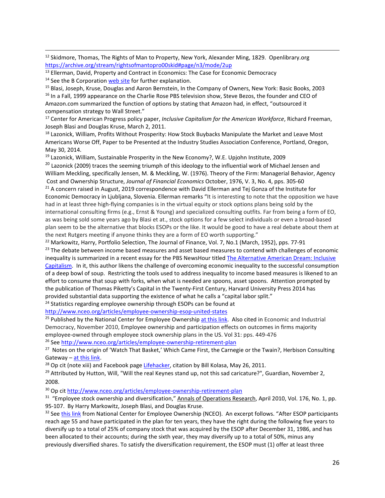<sup>12</sup> Skidmore, Thomas, The Rights of Man to Property, New York, Alexander Ming, 1829. Openlibrary.org

 $\overline{\phantom{a}}$ 

https://archive.org/stream/rightsofmantopro00skid#page/n3/mode/2up<br><sup>13</sup> Ellerman, David, Property and Contract in Economics: The Case for Economic Democracy<br><sup>14</sup> See the B Corporation <u>web site</u> for further explanation.<br><sup>1</sup>

Amazon.com summarized the function of options by stating that Amazon had, in effect, "outsourced it compensation strategy to Wall Street."

17 Center for American Progress policy paper, *Inclusive Capitalism for the American Workforce*, Richard Freeman, Joseph Blasi and Douglas Kruse, March 2, 2011.

<sup>18</sup> Lazonick, William, Profits Without Prosperity: How Stock Buybacks Manipulate the Market and Leave Most Americans Worse Off, Paper to be Presented at the Industry Studies Association Conference, Portland, Oregon, May 30, 2014.

 $19$  Lazonick, William, Sustainable Prosperity in the New Economy?, W.E. Upjohn Institute, 2009

<sup>20</sup> Lazonick (2009) traces the seeming triumph of this ideology to the influential work of Michael Jensen and William Meckling, specifically Jensen, M. & Meckling, W. (1976). Theory of the Firm: Managerial Behavior, Agency

Cost and Ownership Structure, *Journal of Financial Economics* October, 1976, V. 3, No. 4, pps. 305-60<br><sup>21</sup> A concern raised in August, 2019 correspondence with David Ellerman and Tej Gonza of the Institute for Economic Democracy in Ljubljana, Slovenia. Ellerman remarks "It is interesting to note that the opposition we have had in at least three high-flying companies is in the virtual equity or stock options plans being sold by the international consulting firms (e.g., Ernst & Young) and specialized consulting outfits. Far from being a form of EO, as was being sold some years ago by Blasi et at., stock options for a few select individuals or even a broad-based plan seem to be the alternative that blocks ESOPs or the like. It would be good to have a real debate about them at the next Rutgers meeting if anyone thinks they are a form of EO worth supporting."

<sup>22</sup> Markowitz, Harry, Portfolio Selection, The Journal of Finance, Vol. 7, No.1 (March, 1952), pps. 77-91  $23$  The debate between income based measures and asset based measures to contend with challenges of economic inequality is summarized in a recent essay for the PBS NewsHour titled The Alternative American Dream: Inclusive Capitalism. In it, this author likens the challenge of overcoming economic inequality to the successful consumption of a deep bowl of soup. Restricting the tools used to address inequality to income based measures is likened to an effort to consume that soup with forks, when what is needed are spoons, asset spoons. Attention prompted by the publication of Thomas Piketty's Capital in the Twenty-First Century, Harvard University Press 2014 has provided substantial data supporting the existence of what he calls a "capital labor split."<br><sup>24</sup> Statistics regarding employee ownership through ESOPs can be found at

http://www.nceo.org/articles/employee-ownership-esop-united-states<br><sup>25</sup> Published by the National Center for Employee Ownership at this link. Also cited in Economic and Industrial Democracy, November 2010, Employee ownership and participation effects on outcomes in firms majority employee-owned through employee stock ownership plans in the US. Vol 31: pps. 449-476 <sup>26</sup> See http://www.nceo.org/articles/employee-ownership-retirement-plan

<sup>27</sup> Notes on the origin of 'Watch That Basket,' Which Came First, the Carnegie or the Twain?, Herbison Consulting Gateway – <u>at this link</u>.<br><sup>28</sup> Op cit (note xiii) and Facebook page <u>Lifehacker</u>, citation by Bill Kolasa, May 26, 2011.<br><sup>29</sup> Attributed by Hutton, Will, "Will the real Keynes stand up, not this sad caricature?", Guardian,

2008.

<sup>30</sup> Op cit http://www.nceo.org/articles/employee-ownership-retirement-plan<br><sup>31</sup> "Employee stock ownership and diversification," Annals of Operations Research, April 2010, Vol. 176, No. 1, pp. 95-107. By Harry Markowitz, Joseph Blasi, and Douglas Kruse.<br><sup>32</sup> See this link from National Center for Employee Ownership (NCEO). An excerpt follows. "After ESOP participants

reach age 55 and have participated in the plan for ten years, they have the right during the following five years to diversify up to a total of 25% of company stock that was acquired by the ESOP after December 31, 1986, and has been allocated to their accounts; during the sixth year, they may diversify up to a total of 50%, minus any previously diversified shares. To satisfy the diversification requirement, the ESOP must (1) offer at least three